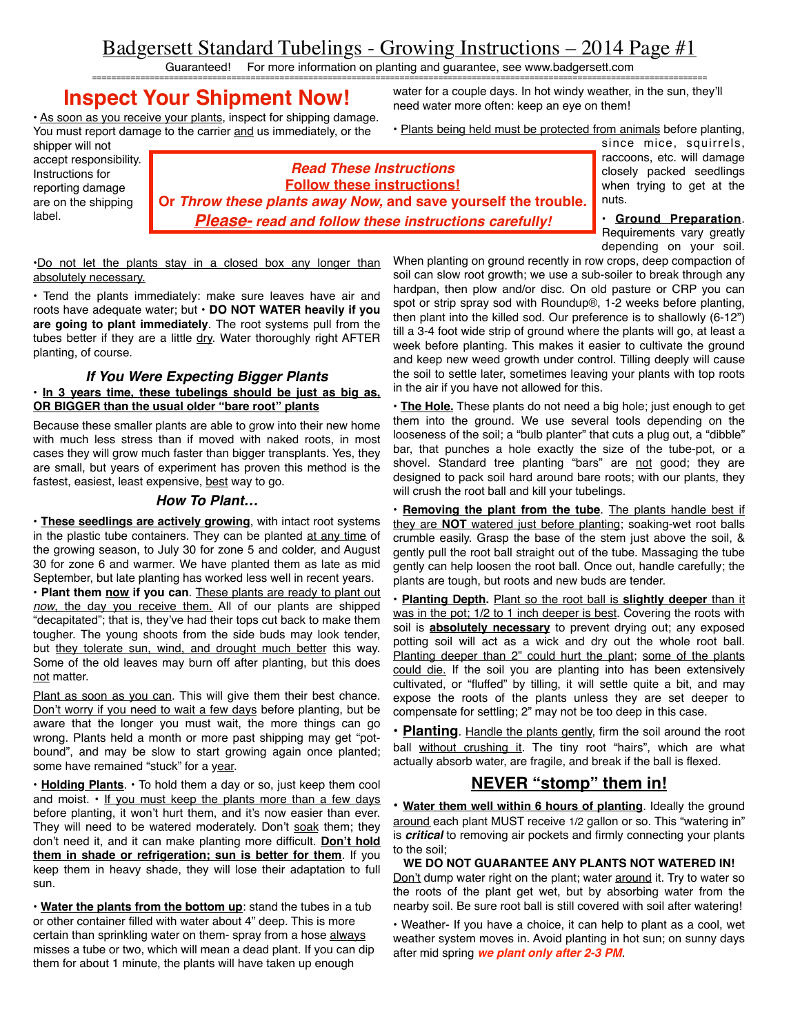# Badgersett Standard Tubelings - Growing Instructions – 2014 Page #1

Guaranteed! For more information on planting and guarantee, see www.badgersett.com ================================================================================================================================

## **Inspect Your Shipment Now!**

• As soon as you receive your plants, inspect for shipping damage. You must report damage to the carrier and us immediately, or the

water for a couple days. In hot windy weather, in the sun, they'll need water more often: keep an eye on them!

• Plants being held must be protected from animals before planting,

shipper will not accept responsibility. Instructions for reporting damage are on the shipping label.

| <b>Read These Instructions</b>                                 |
|----------------------------------------------------------------|
| <b>Follow these instructions!</b>                              |
| Or Throw these plants away Now, and save yourself the trouble. |
| <b>Please-</b> read and follow these instructions carefully!   |

since mice, squirrels, raccoons, etc. will damage closely packed seedlings when trying to get at the nuts.

**• Ground Preparation**. Requirements vary greatly depending on your soil.

•Do not let the plants stay in a closed box any longer than absolutely necessary.

• Tend the plants immediately: make sure leaves have air and roots have adequate water; but **• DO NOT WATER heavily if you are going to plant immediately**. The root systems pull from the tubes better if they are a little dry. Water thoroughly right AFTER planting, of course.

#### *If You Were Expecting Bigger Plants* **• In 3 years time, these tubelings should be just as big as, OR BIGGER than the usual older "bare root" plants**

Because these smaller plants are able to grow into their new home with much less stress than if moved with naked roots, in most cases they will grow much faster than bigger transplants. Yes, they are small, but years of experiment has proven this method is the fastest, easiest, least expensive, best way to go.

#### *How To Plant…*

• **These seedlings are actively growing**, with intact root systems in the plastic tube containers. They can be planted at any time of the growing season, to July 30 for zone 5 and colder, and August 30 for zone 6 and warmer. We have planted them as late as mid September, but late planting has worked less well in recent years.

**• Plant them now if you can**. These plants are ready to plant out *now*, the day you receive them. All of our plants are shipped "decapitated"; that is, they've had their tops cut back to make them tougher. The young shoots from the side buds may look tender, but they tolerate sun, wind, and drought much better this way. Some of the old leaves may burn off after planting, but this does not matter.

Plant as soon as you can. This will give them their best chance. Don't worry if you need to wait a few days before planting, but be aware that the longer you must wait, the more things can go wrong. Plants held a month or more past shipping may get "potbound", and may be slow to start growing again once planted; some have remained "stuck" for a year.

**• Holding Plants**. • To hold them a day or so, just keep them cool and moist.  $\cdot$  If you must keep the plants more than a few days before planting, it won't hurt them, and it's now easier than ever. They will need to be watered moderately. Don't soak them; they don't need it, and it can make planting more difficult. **Don't hold them in shade or refrigeration; sun is better for them**. If you keep them in heavy shade, they will lose their adaptation to full sun.

• **Water the plants from the bottom up**: stand the tubes in a tub or other container filled with water about 4" deep. This is more certain than sprinkling water on them- spray from a hose always misses a tube or two, which will mean a dead plant. If you can dip them for about 1 minute, the plants will have taken up enough

When planting on ground recently in row crops, deep compaction of soil can slow root growth; we use a sub-soiler to break through any hardpan, then plow and/or disc. On old pasture or CRP you can spot or strip spray sod with Roundup®, 1-2 weeks before planting, then plant into the killed sod. Our preference is to shallowly (6-12") till a 3-4 foot wide strip of ground where the plants will go, at least a week before planting. This makes it easier to cultivate the ground and keep new weed growth under control. Tilling deeply will cause the soil to settle later, sometimes leaving your plants with top roots in the air if you have not allowed for this.

**• The Hole.** These plants do not need a big hole; just enough to get them into the ground. We use several tools depending on the looseness of the soil; a "bulb planter" that cuts a plug out, a "dibble" bar, that punches a hole exactly the size of the tube-pot, or a shovel. Standard tree planting "bars" are not good; they are designed to pack soil hard around bare roots; with our plants, they will crush the root ball and kill your tubelings.

**• Removing the plant from the tube**. The plants handle best if they are **NOT** watered just before planting; soaking-wet root balls crumble easily. Grasp the base of the stem just above the soil, & gently pull the root ball straight out of the tube. Massaging the tube gently can help loosen the root ball. Once out, handle carefully; the plants are tough, but roots and new buds are tender.

**• Planting Depth.** Plant so the root ball is **slightly deeper** than it was in the pot;  $1/2$  to 1 inch deeper is best. Covering the roots with soil is **absolutely necessary** to prevent drying out; any exposed potting soil will act as a wick and dry out the whole root ball. Planting deeper than 2" could hurt the plant; some of the plants could die. If the soil you are planting into has been extensively cultivated, or "fluffed" by tilling, it will settle quite a bit, and may expose the roots of the plants unless they are set deeper to compensate for settling; 2" may not be too deep in this case.

**• Planting**. Handle the plants gently, firm the soil around the root ball without crushing it. The tiny root "hairs", which are what actually absorb water, are fragile, and break if the ball is flexed.

## **NEVER "stomp" them in!**

**• Water them well within 6 hours of planting**. Ideally the ground around each plant MUST receive 1/2 gallon or so. This "watering in" is *critical* to removing air pockets and firmly connecting your plants to the soil;

### **WE DO NOT GUARANTEE ANY PLANTS NOT WATERED IN!**

Don't dump water right on the plant; water **around** it. Try to water so the roots of the plant get wet, but by absorbing water from the nearby soil. Be sure root ball is still covered with soil after watering!

• Weather- If you have a choice, it can help to plant as a cool, wet weather system moves in. Avoid planting in hot sun; on sunny days after mid spring *we plant only after 2-3 PM*.